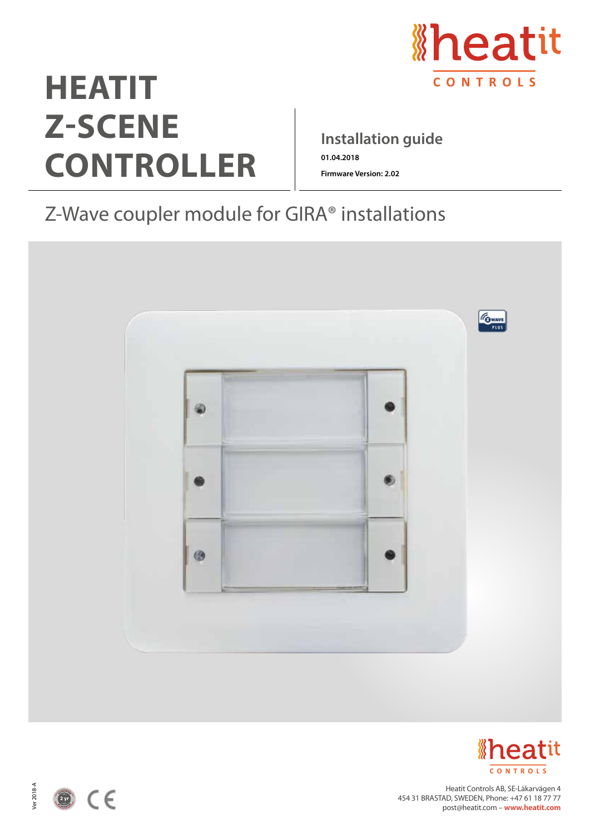

# **HEATIT Z-SCENE CONTROLLER**

# **Installation guide 01.04.2018**

**Firmware Version: 2.02**

# Z-Wave coupler module for GIRA® installations





Heatit Controls AB, SE-Läkarvägen 4 454 31 BRASTAD, SWEDEN, Phone: +47 61 18 77 77 post@heatit.com – **www.heatit.com**



Ver 2018-A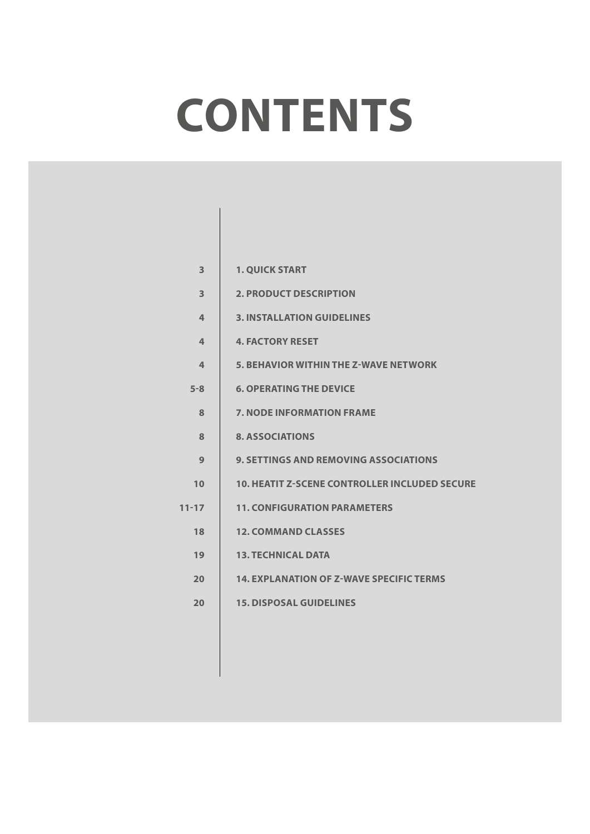# **CONTENTS**

| 3         | <b>1. QUICK START</b>                                |
|-----------|------------------------------------------------------|
| 3         | <b>2. PRODUCT DESCRIPTION</b>                        |
| 4         | <b>3. INSTALLATION GUIDELINES</b>                    |
| 4         | <b>4. FACTORY RESET</b>                              |
| 4         | <b>5. BEHAVIOR WITHIN THE Z-WAVE NETWORK</b>         |
| $5 - 8$   | <b>6. OPERATING THE DEVICE</b>                       |
| 8         | <b>7. NODE INFORMATION FRAME</b>                     |
| 8         | <b>8. ASSOCIATIONS</b>                               |
| 9         | <b>9. SETTINGS AND REMOVING ASSOCIATIONS</b>         |
| 10        | <b>10. HEATIT Z-SCENE CONTROLLER INCLUDED SECURE</b> |
| $11 - 17$ | <b>11. CONFIGURATION PARAMETERS</b>                  |
| 18        | <b>12. COMMAND CLASSES</b>                           |
| 19        | <b>13. TECHNICAL DATA</b>                            |
| 20        | <b>14. EXPLANATION OF Z-WAVE SPECIFIC TERMS</b>      |
| 20        | <b>15. DISPOSAL GUIDELINES</b>                       |
|           |                                                      |
|           |                                                      |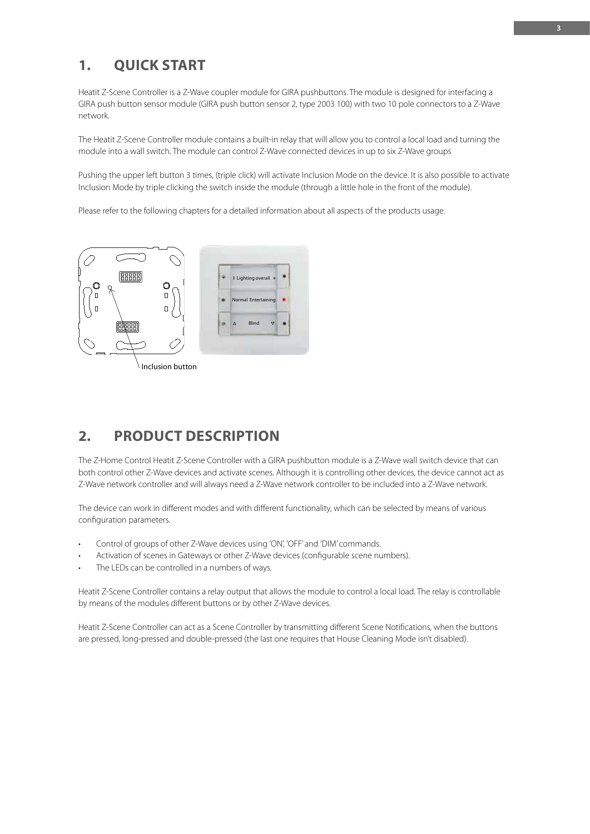# **1. QUICK START**

Heatit Z-Scene Controller is a Z-Wave coupler module for GIRA pushbuttons. The module is designed for interfacing a GIRA push button sensor module (GIRA push button sensor 2, type 2003 100) with two 10 pole connectors to a Z-Wave network.

The Heatit Z-Scene Controller module contains a built-in relay that will allow you to control a local load and turning the module into a wall switch. The module can control Z-Wave connected devices in up to six Z-Wave groups

Pushing the upper left button 3 times, (triple click) will activate Inclusion Mode on the device. It is also possible to activate Inclusion Mode by triple clicking the switch inside the module (through a little hole in the front of the module).

Please refer to the following chapters for a detailed information about all aspects of the products usage.



# **2. PRODUCT DESCRIPTION**

The Z-Home Control Heatit Z-Scene Controller with a GIRA pushbutton module is a Z-Wave wall switch device that can both control other Z-Wave devices and activate scenes. Although it is controlling other devices, the device cannot act as Z-Wave network controller and will always need a Z-Wave network controller to be included into a Z-Wave network.

The device can work in different modes and with different functionality, which can be selected by means of various configuration parameters.

- Control of groups of other Z-Wave devices using 'ON', 'OFF' and 'DIM' commands.
- Activation of scenes in Gateways or other Z-Wave devices (configurable scene numbers).
- The LEDs can be controlled in a numbers of ways.

Heatit Z-Scene Controller contains a relay output that allows the module to control a local load. The relay is controllable by means of the modules different buttons or by other Z-Wave devices.

Heatit Z-Scene Controller can act as a Scene Controller by transmitting different Scene Notifications, when the buttons are pressed, long-pressed and double-pressed (the last one requires that House Cleaning Mode isn't disabled).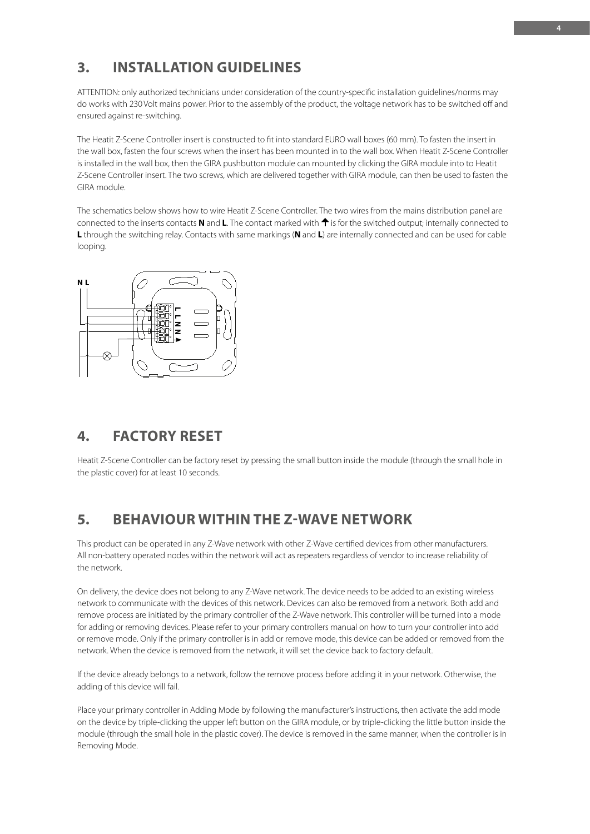# **3. INSTALLATION GUIDELINES**

ATTENTION: only authorized technicians under consideration of the country-specific installation guidelines/norms may do works with 230 Volt mains power. Prior to the assembly of the product, the voltage network has to be switched off and ensured against re-switching.

The Heatit Z-Scene Controller insert is constructed to fit into standard EURO wall boxes (60 mm). To fasten the insert in the wall box, fasten the four screws when the insert has been mounted in to the wall box. When Heatit Z-Scene Controller is installed in the wall box, then the GIRA pushbutton module can mounted by clicking the GIRA module into to Heatit Z-Scene Controller insert. The two screws, which are delivered together with GIRA module, can then be used to fasten the GIRA module.

The schematics below shows how to wire Heatit Z-Scene Controller. The two wires from the mains distribution panel are connected to the inserts contacts **N** and **L**. The contact marked with  $\uparrow$  is for the switched output; internally connected to **L** through the switching relay. Contacts with same markings (**N** and **L**) are internally connected and can be used for cable looping.



# **4. FACTORY RESET**

Heatit Z-Scene Controller can be factory reset by pressing the small button inside the module (through the small hole in the plastic cover) for at least 10 seconds.

# **5. BEHAVIOUR WITHIN THE Z-WAVE NETWORK**

This product can be operated in any Z-Wave network with other Z-Wave certified devices from other manufacturers. All non-battery operated nodes within the network will act as repeaters regardless of vendor to increase reliability of the network.

On delivery, the device does not belong to any Z-Wave network. The device needs to be added to an existing wireless network to communicate with the devices of this network. Devices can also be removed from a network. Both add and remove process are initiated by the primary controller of the Z-Wave network. This controller will be turned into a mode for adding or removing devices. Please refer to your primary controllers manual on how to turn your controller into add or remove mode. Only if the primary controller is in add or remove mode, this device can be added or removed from the network. When the device is removed from the network, it will set the device back to factory default.

If the device already belongs to a network, follow the remove process before adding it in your network. Otherwise, the adding of this device will fail.

Place your primary controller in Adding Mode by following the manufacturer's instructions, then activate the add mode on the device by triple-clicking the upper left button on the GIRA module, or by triple-clicking the little button inside the module (through the small hole in the plastic cover). The device is removed in the same manner, when the controller is in Removing Mode.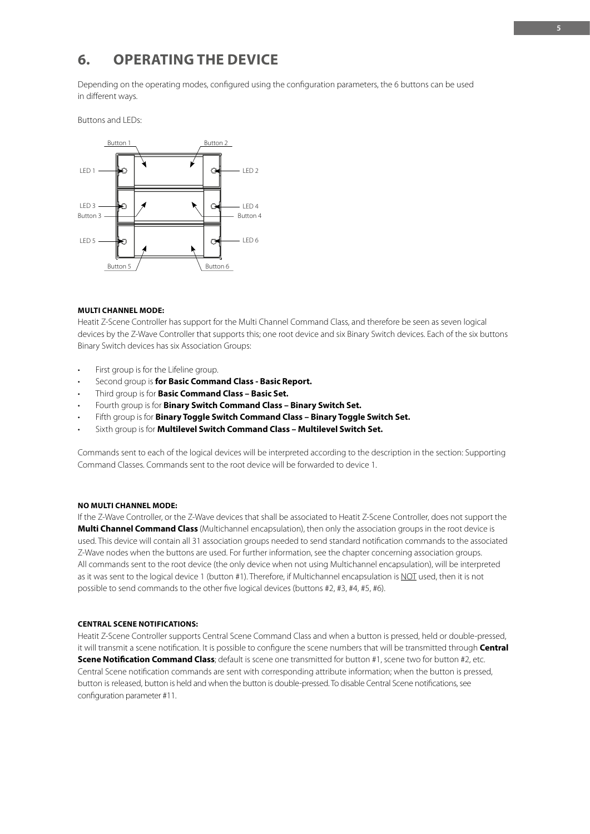# **6. OPERATING THE DEVICE**

Depending on the operating modes, configured using the configuration parameters, the 6 buttons can be used in different ways.

Buttons and LEDs:



## **MULTI CHANNEL MODE:**

Heatit Z-Scene Controller has support for the Multi Channel Command Class, and therefore be seen as seven logical devices by the Z-Wave Controller that supports this; one root device and six Binary Switch devices. Each of the six buttons Binary Switch devices has six Association Groups:

- First group is for the Lifeline group.
- Second group is **for Basic Command Class Basic Report.**
- Third group is for **Basic Command Class Basic Set.**
- Fourth group is for **Binary Switch Command Class Binary Switch Set.**
- Fifth group is for **Binary Toggle Switch Command Class Binary Toggle Switch Set.**
- Sixth group is for **Multilevel Switch Command Class Multilevel Switch Set.**

Commands sent to each of the logical devices will be interpreted according to the description in the section: Supporting Command Classes. Commands sent to the root device will be forwarded to device 1.

# **NO MULTI CHANNEL MODE:**

If the Z-Wave Controller, or the Z-Wave devices that shall be associated to Heatit Z-Scene Controller, does not support the **Multi Channel Command Class** (Multichannel encapsulation), then only the association groups in the root device is used. This device will contain all 31 association groups needed to send standard notification commands to the associated Z-Wave nodes when the buttons are used. For further information, see the chapter concerning association groups. All commands sent to the root device (the only device when not using Multichannel encapsulation), will be interpreted as it was sent to the logical device 1 (button #1). Therefore, if Multichannel encapsulation is NOT used, then it is not possible to send commands to the other five logical devices (buttons #2, #3, #4, #5, #6).

## **CENTRAL SCENE NOTIFICATIONS:**

Heatit Z-Scene Controller supports Central Scene Command Class and when a button is pressed, held or double-pressed, it will transmit a scene notification. It is possible to configure the scene numbers that will be transmitted through **Central Scene Notification Command Class**; default is scene one transmitted for button #1, scene two for button #2, etc. Central Scene notification commands are sent with corresponding attribute information; when the button is pressed, button is released, button is held and when the button is double-pressed. To disable Central Scene notifications, see configuration parameter #11.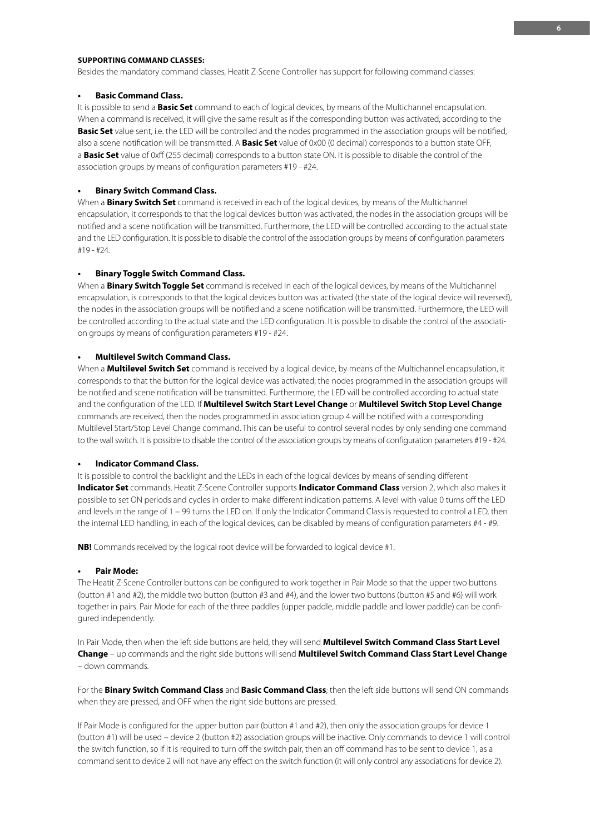# **SUPPORTING COMMAND CLASSES:**

Besides the mandatory command classes, Heatit Z-Scene Controller has support for following command classes:

## **• Basic Command Class.**

It is possible to send a **Basic Set** command to each of logical devices, by means of the Multichannel encapsulation. When a command is received, it will give the same result as if the corresponding button was activated, according to the **Basic Set** value sent, i.e. the LED will be controlled and the nodes programmed in the association groups will be notified, also a scene notification will be transmitted. A **Basic Set** value of 0x00 (0 decimal) corresponds to a button state OFF, a **Basic Set** value of 0xff (255 decimal) corresponds to a button state ON. It is possible to disable the control of the association groups by means of configuration parameters #19 - #24.

# **• Binary Switch Command Class.**

When a **Binary Switch Set** command is received in each of the logical devices, by means of the Multichannel encapsulation, it corresponds to that the logical devices button was activated, the nodes in the association groups will be notified and a scene notification will be transmitted. Furthermore, the LED will be controlled according to the actual state and the LED configuration. It is possible to disable the control of the association groups by means of configuration parameters #19 - #24.

#### **• Binary Toggle Switch Command Class.**

When a **Binary Switch Toggle Set** command is received in each of the logical devices, by means of the Multichannel encapsulation, is corresponds to that the logical devices button was activated (the state of the logical device will reversed), the nodes in the association groups will be notified and a scene notification will be transmitted. Furthermore, the LED will be controlled according to the actual state and the LED configuration. It is possible to disable the control of the association groups by means of configuration parameters #19 - #24.

# **• Multilevel Switch Command Class.**

When a **Multilevel Switch Set** command is received by a logical device, by means of the Multichannel encapsulation, it corresponds to that the button for the logical device was activated; the nodes programmed in the association groups will be notified and scene notification will be transmitted. Furthermore, the LED will be controlled according to actual state and the configuration of the LED. If **Multilevel Switch Start Level Change** or **Multilevel Switch Stop Level Change** commands are received, then the nodes programmed in association group 4 will be notified with a corresponding Multilevel Start/Stop Level Change command. This can be useful to control several nodes by only sending one command to the wall switch. It is possible to disable the control of the association groups by means of configuration parameters #19 - #24.

## **• Indicator Command Class.**

It is possible to control the backlight and the LEDs in each of the logical devices by means of sending different **Indicator Set** commands. Heatit Z-Scene Controller supports **Indicator Command Class** version 2, which also makes it possible to set ON periods and cycles in order to make different indication patterns. A level with value 0 turns off the LED and levels in the range of 1 – 99 turns the LED on. If only the Indicator Command Class is requested to control a LED, then the internal LED handling, in each of the logical devices, can be disabled by means of configuration parameters #4 - #9.

**NB!** Commands received by the logical root device will be forwarded to logical device #1.

## **• Pair Mode:**

The Heatit Z-Scene Controller buttons can be configured to work together in Pair Mode so that the upper two buttons (button #1 and #2), the middle two button (button #3 and #4), and the lower two buttons (button #5 and #6) will work together in pairs. Pair Mode for each of the three paddles (upper paddle, middle paddle and lower paddle) can be configured independently.

In Pair Mode, then when the left side buttons are held, they will send **Multilevel Switch Command Class Start Level Change** – up commands and the right side buttons will send **Multilevel Switch Command Class Start Level Change** – down commands.

For the **Binary Switch Command Class** and **Basic Command Class**; then the left side buttons will send ON commands when they are pressed, and OFF when the right side buttons are pressed.

If Pair Mode is configured for the upper button pair (button #1 and #2), then only the association groups for device 1 (button #1) will be used – device 2 (button #2) association groups will be inactive. Only commands to device 1 will control the switch function, so if it is required to turn off the switch pair, then an off command has to be sent to device 1, as a command sent to device 2 will not have any effect on the switch function (it will only control any associations for device 2).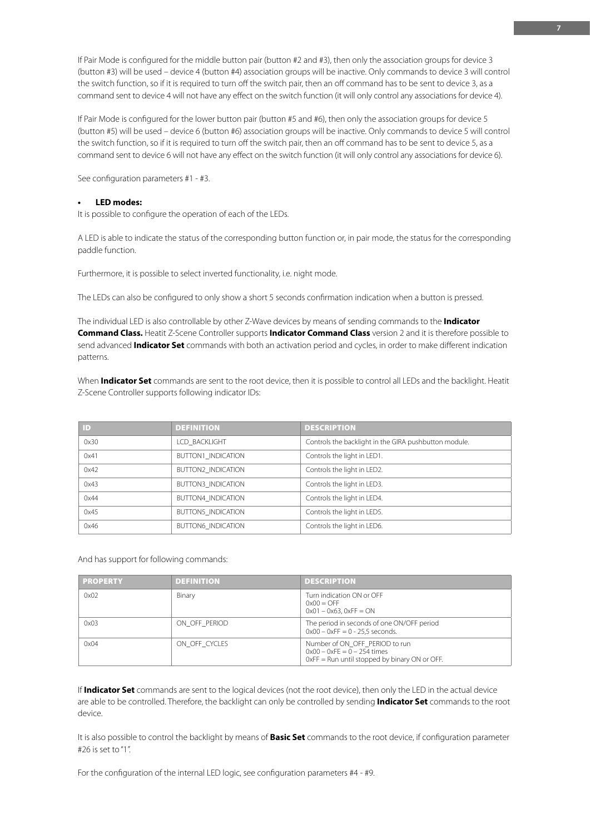If Pair Mode is configured for the middle button pair (button #2 and #3), then only the association groups for device 3 (button #3) will be used – device 4 (button #4) association groups will be inactive. Only commands to device 3 will control the switch function, so if it is required to turn off the switch pair, then an off command has to be sent to device 3, as a command sent to device 4 will not have any effect on the switch function (it will only control any associations for device 4).

If Pair Mode is configured for the lower button pair (button #5 and #6), then only the association groups for device 5 (button #5) will be used – device 6 (button #6) association groups will be inactive. Only commands to device 5 will control the switch function, so if it is required to turn off the switch pair, then an off command has to be sent to device 5, as a command sent to device 6 will not have any effect on the switch function (it will only control any associations for device 6).

See configuration parameters #1 - #3.

# **• LED modes:**

It is possible to configure the operation of each of the LEDs.

A LED is able to indicate the status of the corresponding button function or, in pair mode, the status for the corresponding paddle function.

Furthermore, it is possible to select inverted functionality, i.e. night mode.

The LEDs can also be configured to only show a short 5 seconds confirmation indication when a button is pressed.

The individual LED is also controllable by other Z-Wave devices by means of sending commands to the **Indicator Command Class.** Heatit Z-Scene Controller supports **Indicator Command Class** version 2 and it is therefore possible to send advanced **Indicator Set** commands with both an activation period and cycles, in order to make different indication patterns.

When **Indicator Set** commands are sent to the root device, then it is possible to control all LEDs and the backlight. Heatit Z-Scene Controller supports following indicator IDs:

| $\mathsf{ID}$ | <b>DEFINITION</b>         | <b>DESCRIPTION</b>                                    |
|---------------|---------------------------|-------------------------------------------------------|
| 0x30          | LCD BACKLIGHT             | Controls the backlight in the GIRA pushbutton module. |
| 0x41          | <b>BUTTON1 INDICATION</b> | Controls the light in LED1.                           |
| 0x42          | <b>BUTTON2 INDICATION</b> | Controls the light in LED2.                           |
| 0x43          | <b>BUTTON3 INDICATION</b> | Controls the light in LED3.                           |
| 0x44          | <b>BUTTON4 INDICATION</b> | Controls the light in LED4.                           |
| 0x45          | <b>BUTTON5 INDICATION</b> | Controls the light in LED5.                           |
| 0x46          | <b>BUTTON6 INDICATION</b> | Controls the light in LED6.                           |

And has support for following commands:

| <b>PROPERTY</b> | <b>DEFINITION</b> | <b>DESCRIPTION</b>                                                                                                 |
|-----------------|-------------------|--------------------------------------------------------------------------------------------------------------------|
| 0x02            | Binary            | Turn indication ON or OFF<br>$0x00 =$ OFF<br>$0x01 - 0x63$ , $0xFF = ON$                                           |
| 0x03            | ON OFF PERIOD     | The period in seconds of one ON/OFF period<br>$0x00 - 0xFF = 0 - 25.5$ seconds.                                    |
| 0x04            | ON OFF CYCLES     | Number of ON OFF PERIOD to run<br>$0x00 - 0xFE = 0 - 254$ times<br>$0xFF = Run$ until stopped by binary ON or OFF. |

If **Indicator Set** commands are sent to the logical devices (not the root device), then only the LED in the actual device are able to be controlled. Therefore, the backlight can only be controlled by sending **Indicator Set** commands to the root device.

It is also possible to control the backlight by means of **Basic Set** commands to the root device, if configuration parameter #26 is set to "1".

For the configuration of the internal LED logic, see configuration parameters #4 - #9.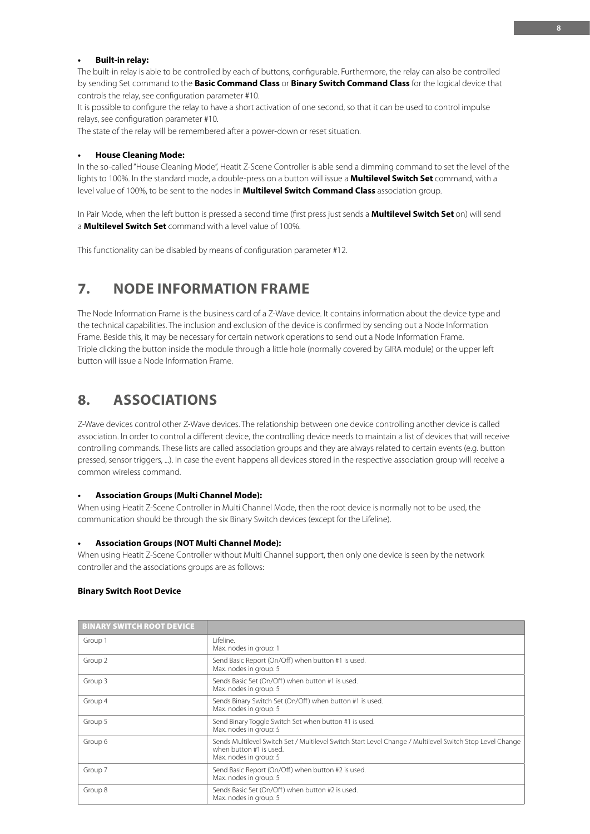# **• Built-in relay:**

The built-in relay is able to be controlled by each of buttons, configurable. Furthermore, the relay can also be controlled by sending Set command to the **Basic Command Class** or **Binary Switch Command Class** for the logical device that controls the relay, see configuration parameter #10.

It is possible to configure the relay to have a short activation of one second, so that it can be used to control impulse relays, see configuration parameter #10.

The state of the relay will be remembered after a power-down or reset situation.

#### **• House Cleaning Mode:**

In the so-called "House Cleaning Mode", Heatit Z-Scene Controller is able send a dimming command to set the level of the lights to 100%. In the standard mode, a double-press on a button will issue a **Multilevel Switch Set** command, with a level value of 100%, to be sent to the nodes in **Multilevel Switch Command Class** association group.

In Pair Mode, when the left button is pressed a second time (first press just sends a **Multilevel Switch Set** on) will send a **Multilevel Switch Set** command with a level value of 100%.

This functionality can be disabled by means of configuration parameter #12.

# **7. NODE INFORMATION FRAME**

The Node Information Frame is the business card of a Z-Wave device. It contains information about the device type and the technical capabilities. The inclusion and exclusion of the device is confirmed by sending out a Node Information Frame. Beside this, it may be necessary for certain network operations to send out a Node Information Frame. Triple clicking the button inside the module through a little hole (normally covered by GIRA module) or the upper left button will issue a Node Information Frame.

# **8. ASSOCIATIONS**

Z-Wave devices control other Z-Wave devices. The relationship between one device controlling another device is called association. In order to control a different device, the controlling device needs to maintain a list of devices that will receive controlling commands. These lists are called association groups and they are always related to certain events (e.g. button pressed, sensor triggers, ...). In case the event happens all devices stored in the respective association group will receive a common wireless command.

## **• Association Groups (Multi Channel Mode):**

When using Heatit Z-Scene Controller in Multi Channel Mode, then the root device is normally not to be used, the communication should be through the six Binary Switch devices (except for the Lifeline).

## **• Association Groups (NOT Multi Channel Mode):**

When using Heatit Z-Scene Controller without Multi Channel support, then only one device is seen by the network controller and the associations groups are as follows:

### **Binary Switch Root Device**

| <b>BINARY SWITCH ROOT DEVICE</b> |                                                                                                                                                               |
|----------------------------------|---------------------------------------------------------------------------------------------------------------------------------------------------------------|
| Group 1                          | I ifeline.<br>Max. nodes in group: 1                                                                                                                          |
| Group 2                          | Send Basic Report (On/Off) when button #1 is used.<br>Max. nodes in group: 5                                                                                  |
| Group 3                          | Sends Basic Set (On/Off) when button #1 is used.<br>Max. nodes in group: 5                                                                                    |
| Group 4                          | Sends Binary Switch Set (On/Off) when button #1 is used.<br>Max. nodes in group: 5                                                                            |
| Group 5                          | Send Binary Toggle Switch Set when button #1 is used.<br>Max. nodes in group: 5                                                                               |
| Group 6                          | Sends Multilevel Switch Set / Multilevel Switch Start Level Change / Multilevel Switch Stop Level Change<br>when button #1 is used.<br>Max. nodes in group: 5 |
| Group 7                          | Send Basic Report (On/Off) when button #2 is used.<br>Max. nodes in group: 5                                                                                  |
| Group 8                          | Sends Basic Set (On/Off) when button #2 is used.<br>Max. nodes in group: 5                                                                                    |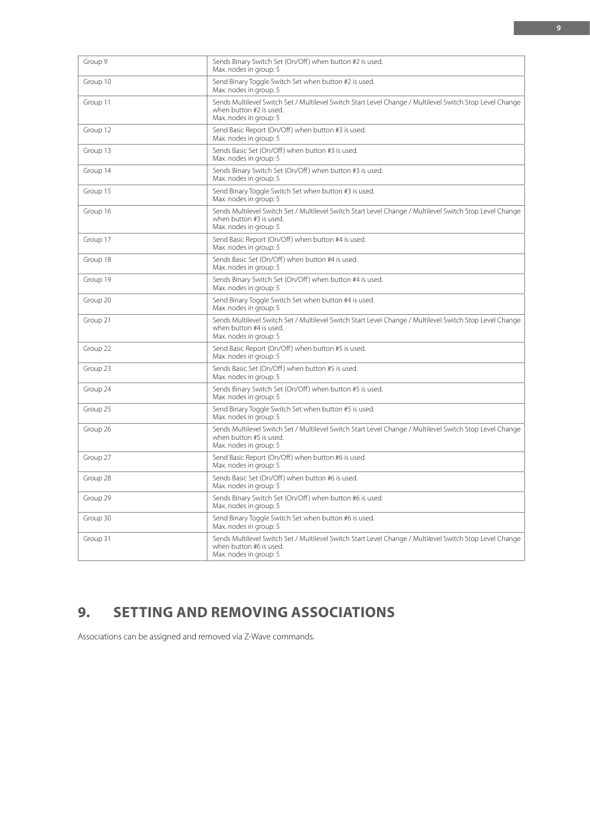| Group 9  | Sends Binary Switch Set (On/Off) when button #2 is used.<br>Max. nodes in group: 5                                                                            |
|----------|---------------------------------------------------------------------------------------------------------------------------------------------------------------|
| Group 10 | Send Binary Toggle Switch Set when button #2 is used.<br>Max. nodes in group: 5                                                                               |
| Group 11 | Sends Multilevel Switch Set / Multilevel Switch Start Level Change / Multilevel Switch Stop Level Change<br>when button #2 is used.<br>Max. nodes in group: 5 |
| Group 12 | Send Basic Report (On/Off) when button #3 is used.<br>Max. nodes in group: 5                                                                                  |
| Group 13 | Sends Basic Set (On/Off) when button #3 is used.<br>Max. nodes in group: 5                                                                                    |
| Group 14 | Sends Binary Switch Set (On/Off) when button #3 is used.<br>Max. nodes in group: 5                                                                            |
| Group 15 | Send Binary Toggle Switch Set when button #3 is used.<br>Max. nodes in group: 5                                                                               |
| Group 16 | Sends Multilevel Switch Set / Multilevel Switch Start Level Change / Multilevel Switch Stop Level Change<br>when button #3 is used.<br>Max. nodes in group: 5 |
| Group 17 | Send Basic Report (On/Off) when button #4 is used.<br>Max. nodes in group: 5                                                                                  |
| Group 18 | Sends Basic Set (On/Off) when button #4 is used.<br>Max. nodes in group: 5                                                                                    |
| Group 19 | Sends Binary Switch Set (On/Off) when button #4 is used.<br>Max. nodes in group: 5                                                                            |
| Group 20 | Send Binary Toggle Switch Set when button #4 is used.<br>Max. nodes in group: 5                                                                               |
| Group 21 | Sends Multilevel Switch Set / Multilevel Switch Start Level Change / Multilevel Switch Stop Level Change<br>when button #4 is used.<br>Max. nodes in group: 5 |
| Group 22 | Send Basic Report (On/Off) when button #5 is used.<br>Max. nodes in group: 5                                                                                  |
| Group 23 | Sends Basic Set (On/Off) when button #5 is used.<br>Max. nodes in group: 5                                                                                    |
| Group 24 | Sends Binary Switch Set (On/Off) when button #5 is used.<br>Max. nodes in group: 5                                                                            |
| Group 25 | Send Binary Toggle Switch Set when button #5 is used.<br>Max. nodes in group: 5                                                                               |
| Group 26 | Sends Multilevel Switch Set / Multilevel Switch Start Level Change / Multilevel Switch Stop Level Change<br>when button #5 is used.<br>Max. nodes in group: 5 |
| Group 27 | Send Basic Report (On/Off) when button #6 is used.<br>Max. nodes in group: 5                                                                                  |
| Group 28 | Sends Basic Set (On/Off) when button #6 is used.<br>Max. nodes in group: 5                                                                                    |
| Group 29 | Sends Binary Switch Set (On/Off) when button #6 is used.<br>Max. nodes in group: 5                                                                            |
| Group 30 | Send Binary Toggle Switch Set when button #6 is used.<br>Max. nodes in group: 5                                                                               |
| Group 31 | Sends Multilevel Switch Set / Multilevel Switch Start Level Change / Multilevel Switch Stop Level Change<br>when button #6 is used.<br>Max. nodes in group: 5 |

# **9. SETTING AND REMOVING ASSOCIATIONS**

Associations can be assigned and removed via Z-Wave commands.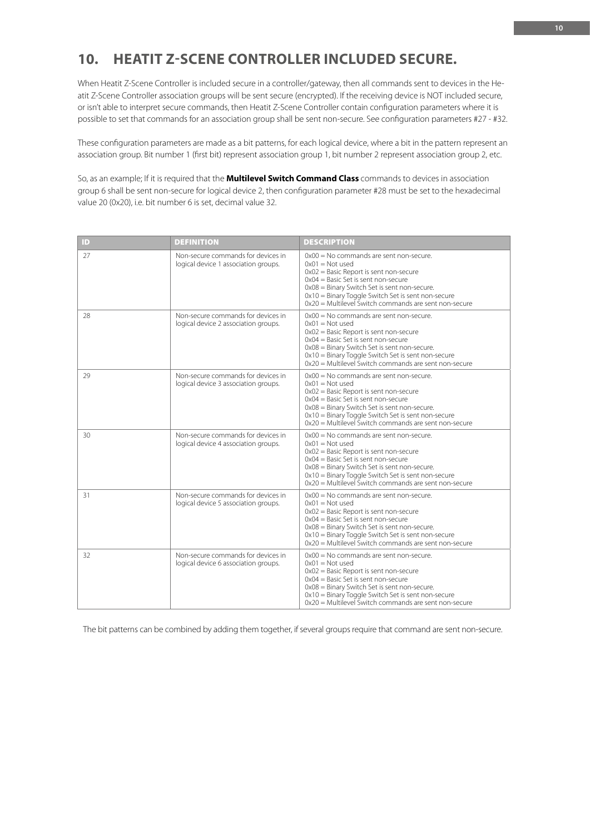# **10. HEATIT Z-SCENE CONTROLLER INCLUDED SECURE.**

When Heatit Z-Scene Controller is included secure in a controller/gateway, then all commands sent to devices in the Heatit Z-Scene Controller association groups will be sent secure (encrypted). If the receiving device is NOT included secure, or isn't able to interpret secure commands, then Heatit Z-Scene Controller contain configuration parameters where it is possible to set that commands for an association group shall be sent non-secure. See configuration parameters #27 - #32.

These configuration parameters are made as a bit patterns, for each logical device, where a bit in the pattern represent an association group. Bit number 1 (first bit) represent association group 1, bit number 2 represent association group 2, etc.

So, as an example; If it is required that the **Multilevel Switch Command Class** commands to devices in association group 6 shall be sent non-secure for logical device 2, then configuration parameter #28 must be set to the hexadecimal value 20 (0x20), i.e. bit number 6 is set, decimal value 32.

| ID | <b>DEFINITION</b>                                                          | <b>DESCRIPTION</b>                                                                                                                                                                                                                                                                                                     |
|----|----------------------------------------------------------------------------|------------------------------------------------------------------------------------------------------------------------------------------------------------------------------------------------------------------------------------------------------------------------------------------------------------------------|
| 27 | Non-secure commands for devices in<br>logical device 1 association groups. | $0x00 =$ No commands are sent non-secure.<br>$0x01 = Not used$<br>$0x02$ = Basic Report is sent non-secure<br>$0x04 =$ Basic Set is sent non-secure<br>0x08 = Binary Switch Set is sent non-secure.<br>0x10 = Binary Toggle Switch Set is sent non-secure<br>$0x20$ = Multilevel Switch commands are sent non-secure   |
| 28 | Non-secure commands for devices in<br>logical device 2 association groups. | $0x00 =$ No commands are sent non-secure.<br>$0x01 = Not used$<br>$0x02$ = Basic Report is sent non-secure<br>$0x04 =$ Basic Set is sent non-secure<br>$0x08$ = Binary Switch Set is sent non-secure.<br>0x10 = Binary Toggle Switch Set is sent non-secure<br>$0x20$ = Multilevel Switch commands are sent non-secure |
| 29 | Non-secure commands for devices in<br>logical device 3 association groups. | $0x00 =$ No commands are sent non-secure.<br>$0x01 = Not used$<br>$0x02$ = Basic Report is sent non-secure<br>$0x04 =$ Basic Set is sent non-secure<br>0x08 = Binary Switch Set is sent non-secure.<br>0x10 = Binary Toggle Switch Set is sent non-secure<br>$0x20$ = Multilevel Switch commands are sent non-secure   |
| 30 | Non-secure commands for devices in<br>logical device 4 association groups. | $0x00 =$ No commands are sent non-secure.<br>$0x01 = Not used$<br>$0x02$ = Basic Report is sent non-secure<br>$0x04 =$ Basic Set is sent non-secure<br>$0x08$ = Binary Switch Set is sent non-secure.<br>0x10 = Binary Toggle Switch Set is sent non-secure<br>$0x20$ = Multilevel Switch commands are sent non-secure |
| 31 | Non-secure commands for devices in<br>logical device 5 association groups. | $0x00 =$ No commands are sent non-secure.<br>$0x01 = Not used$<br>$0x02$ = Basic Report is sent non-secure<br>$0x04 =$ Basic Set is sent non-secure<br>0x08 = Binary Switch Set is sent non-secure.<br>0x10 = Binary Toggle Switch Set is sent non-secure<br>$0x20$ = Multilevel Switch commands are sent non-secure   |
| 32 | Non-secure commands for devices in<br>logical device 6 association groups. | $0x00 =$ No commands are sent non-secure.<br>$0x01 = Not used$<br>$0x02$ = Basic Report is sent non-secure<br>$0x04 =$ Basic Set is sent non-secure<br>0x08 = Binary Switch Set is sent non-secure.<br>$0x10 =$ Binary Toggle Switch Set is sent non-secure<br>0x20 = Multilevel Switch commands are sent non-secure   |

The bit patterns can be combined by adding them together, if several groups require that command are sent non-secure.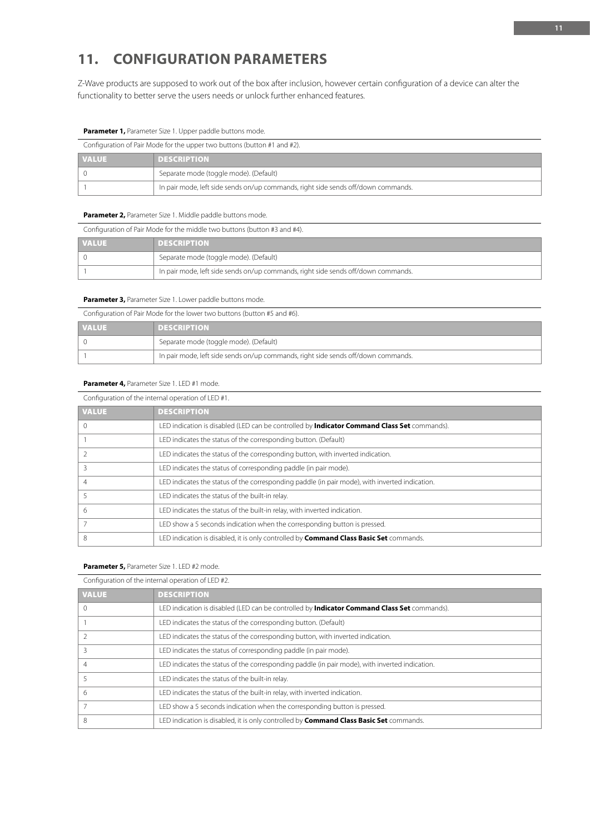# **11. CONFIGURATION PARAMETERS**

Z-Wave products are supposed to work out of the box after inclusion, however certain configuration of a device can alter the functionality to better serve the users needs or unlock further enhanced features.

### **Parameter 1,** Parameter Size 1. Upper paddle buttons mode.

| Configuration of Pair Mode for the upper two buttons (button #1 and #2). |                                                                                   |
|--------------------------------------------------------------------------|-----------------------------------------------------------------------------------|
| <b>VALUE</b>                                                             | <b>DESCRIPTION</b>                                                                |
|                                                                          | Separate mode (toggle mode). (Default)                                            |
|                                                                          | In pair mode, left side sends on/up commands, right side sends off/down commands. |

## **Parameter 2,** Parameter Size 1. Middle paddle buttons mode.

| Configuration of Pair Mode for the middle two buttons (button #3 and #4). |                                                                                   |
|---------------------------------------------------------------------------|-----------------------------------------------------------------------------------|
| <b>VALUE</b>                                                              | <b>DESCRIPTION</b>                                                                |
|                                                                           | Separate mode (toggle mode). (Default)                                            |
|                                                                           | In pair mode, left side sends on/up commands, right side sends off/down commands. |

## **Parameter 3, Parameter Size 1. Lower paddle buttons mode.**

Configuration of Pair Mode for the lower two buttons (button #5 and #6).

| <b>VALUE</b> | <b>DESCRIPTION</b>                                                                |
|--------------|-----------------------------------------------------------------------------------|
|              | Separate mode (toggle mode). (Default)                                            |
|              | In pair mode, left side sends on/up commands, right side sends off/down commands. |

## **Parameter 4,** Parameter Size 1. LED #1 mode.

| Configuration of the internal operation of LED #1. |                                                                                                    |  |
|----------------------------------------------------|----------------------------------------------------------------------------------------------------|--|
| <b>VALUE</b>                                       | <b>DESCRIPTION</b>                                                                                 |  |
|                                                    | LED indication is disabled (LED can be controlled by <b>Indicator Command Class Set</b> commands). |  |
|                                                    | LED indicates the status of the corresponding button. (Default)                                    |  |
|                                                    | LED indicates the status of the corresponding button, with inverted indication.                    |  |
|                                                    | LED indicates the status of corresponding paddle (in pair mode).                                   |  |
| 4                                                  | LED indicates the status of the corresponding paddle (in pair mode), with inverted indication.     |  |
|                                                    | LED indicates the status of the built-in relay.                                                    |  |
| 6                                                  | LED indicates the status of the built-in relay, with inverted indication.                          |  |
|                                                    | LED show a 5 seconds indication when the corresponding button is pressed.                          |  |
| 8                                                  | LED indication is disabled, it is only controlled by <b>Command Class Basic Set</b> commands.      |  |

#### **Parameter 5,** Parameter Size 1. LED #2 mode.

Configuration of the internal operation of LED #2.

| <b>VALUE</b> | <b>DESCRIPTION</b>                                                                                 |
|--------------|----------------------------------------------------------------------------------------------------|
|              | LED indication is disabled (LED can be controlled by <b>Indicator Command Class Set</b> commands). |
|              | LED indicates the status of the corresponding button. (Default)                                    |
|              | LED indicates the status of the corresponding button, with inverted indication.                    |
|              | LED indicates the status of corresponding paddle (in pair mode).                                   |
|              | LED indicates the status of the corresponding paddle (in pair mode), with inverted indication.     |
|              | LED indicates the status of the built-in relay.                                                    |
| 6            | LED indicates the status of the built-in relay, with inverted indication.                          |
|              | LED show a 5 seconds indication when the corresponding button is pressed.                          |
| 8            | LED indication is disabled, it is only controlled by <b>Command Class Basic Set</b> commands.      |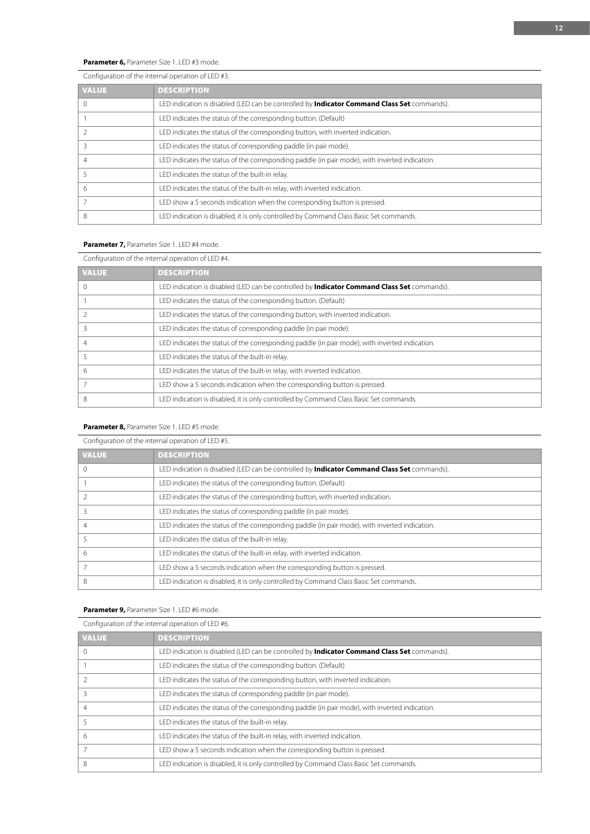# **Parameter 6,** Parameter Size 1. LED #3 mode.

# Configuration of the internal operation of LED #3.

| <b>VALUE</b> | <b>DESCRIPTION</b>                                                                                 |
|--------------|----------------------------------------------------------------------------------------------------|
|              | LED indication is disabled (LED can be controlled by <b>Indicator Command Class Set</b> commands). |
|              | LED indicates the status of the corresponding button. (Default)                                    |
|              | LED indicates the status of the corresponding button, with inverted indication.                    |
|              | LED indicates the status of corresponding paddle (in pair mode).                                   |
|              | LED indicates the status of the corresponding paddle (in pair mode), with inverted indication.     |
|              | LED indicates the status of the built-in relay.                                                    |
| 6            | LED indicates the status of the built-in relay, with inverted indication.                          |
|              | LED show a 5 seconds indication when the corresponding button is pressed.                          |
| 8            | LED indication is disabled, it is only controlled by Command Class Basic Set commands.             |

# **Parameter 7,** Parameter Size 1. LED #4 mode.

| Configuration of the internal operation of LED #4. |                                                                                                    |
|----------------------------------------------------|----------------------------------------------------------------------------------------------------|
| <b>VALUE</b>                                       | <b>DESCRIPTION</b>                                                                                 |
| $^{()}$                                            | LED indication is disabled (LED can be controlled by <b>Indicator Command Class Set</b> commands). |
|                                                    | LED indicates the status of the corresponding button. (Default)                                    |
|                                                    | LED indicates the status of the corresponding button, with inverted indication.                    |
|                                                    | LED indicates the status of corresponding paddle (in pair mode).                                   |
| $\overline{4}$                                     | LED indicates the status of the corresponding paddle (in pair mode), with inverted indication.     |
|                                                    | LED indicates the status of the built-in relay.                                                    |
| 6                                                  | LED indicates the status of the built-in relay, with inverted indication.                          |
|                                                    | LED show a 5 seconds indication when the corresponding button is pressed.                          |
| 8                                                  | LED indication is disabled, it is only controlled by Command Class Basic Set commands.             |

# **Parameter 8,** Parameter Size 1. LED #5 mode.

# Configuration of the internal operation of LED #5.

| <b>VALUE</b> | <b>DESCRIPTION</b>                                                                                 |
|--------------|----------------------------------------------------------------------------------------------------|
|              | LED indication is disabled (LED can be controlled by <b>Indicator Command Class Set</b> commands). |
|              | LED indicates the status of the corresponding button. (Default)                                    |
|              | LED indicates the status of the corresponding button, with inverted indication.                    |
|              | LED indicates the status of corresponding paddle (in pair mode).                                   |
|              | LED indicates the status of the corresponding paddle (in pair mode), with inverted indication.     |
|              | LED indicates the status of the built-in relay.                                                    |
| 6            | LED indicates the status of the built-in relay, with inverted indication.                          |
|              | LED show a 5 seconds indication when the corresponding button is pressed.                          |
| 8            | LED indication is disabled, it is only controlled by Command Class Basic Set commands.             |

## **Parameter 9,** Parameter Size 1. LED #6 mode.

# Configuration of the internal operation of LED #6.

| Comiquiation or the internal operation or LLD iro.                                                 |  |
|----------------------------------------------------------------------------------------------------|--|
| <b>DESCRIPTION</b>                                                                                 |  |
| LED indication is disabled (LED can be controlled by <b>Indicator Command Class Set</b> commands). |  |
| LED indicates the status of the corresponding button. (Default)                                    |  |
| LED indicates the status of the corresponding button, with inverted indication.                    |  |
| LED indicates the status of corresponding paddle (in pair mode).                                   |  |
| LED indicates the status of the corresponding paddle (in pair mode), with inverted indication.     |  |
| LED indicates the status of the built-in relay.                                                    |  |
| LED indicates the status of the built-in relay, with inverted indication.                          |  |
| LED show a 5 seconds indication when the corresponding button is pressed.                          |  |
| LED indication is disabled, it is only controlled by Command Class Basic Set commands.             |  |
|                                                                                                    |  |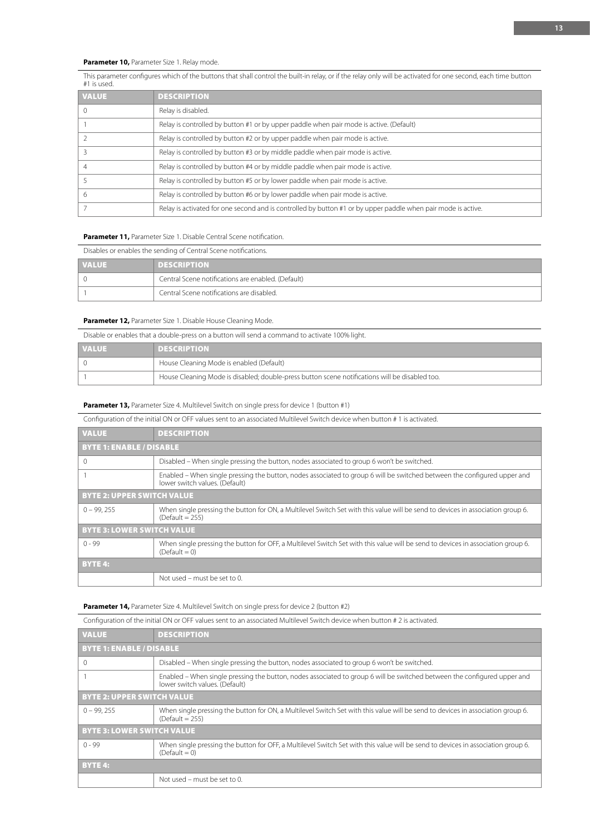## **Parameter 10, Parameter Size 1. Relay mode.**

This parameter configures which of the buttons that shall control the built-in relay, or if the relay only will be activated for one second, each time button #1 is used.

| <b>VALUE</b> | <b>DESCRIPTION</b>                                                                                            |
|--------------|---------------------------------------------------------------------------------------------------------------|
|              | Relay is disabled.                                                                                            |
|              | Relay is controlled by button #1 or by upper paddle when pair mode is active. (Default)                       |
|              | Relay is controlled by button #2 or by upper paddle when pair mode is active.                                 |
|              | Relay is controlled by button #3 or by middle paddle when pair mode is active.                                |
|              | Relay is controlled by button #4 or by middle paddle when pair mode is active.                                |
|              | Relay is controlled by button #5 or by lower paddle when pair mode is active.                                 |
| 6            | Relay is controlled by button #6 or by lower paddle when pair mode is active.                                 |
|              | Relay is activated for one second and is controlled by button #1 or by upper paddle when pair mode is active. |

#### **Parameter 11, Parameter Size 1. Disable Central Scene notification.**

| Disables or enables the sending of Central Scene notifications. |                                                    |
|-----------------------------------------------------------------|----------------------------------------------------|
| <b>VALUE</b>                                                    | <b>DESCRIPTION</b>                                 |
|                                                                 | Central Scene notifications are enabled. (Default) |
|                                                                 | Central Scene notifications are disabled.          |

#### **Parameter 12,** Parameter Size 1. Disable House Cleaning Mode.

| Disable or enables that a double-press on a button will send a command to activate 100% light. |                                          |
|------------------------------------------------------------------------------------------------|------------------------------------------|
| <b>VALUE</b>                                                                                   | <b>DESCRIPTION</b>                       |
|                                                                                                | House Cleaning Mode is enabled (Default) |

**Parameter 13,** Parameter Size 4. Multilevel Switch on single press for device 1 (button #1)

Configuration of the initial ON or OFF values sent to an associated Multilevel Switch device when button # 1 is activated.

1 House Cleaning Mode is disabled; double-press button scene notifications will be disabled too.

| <b>VALUE</b>                      | <b>DESCRIPTION</b>                                                                                                                                         |  |
|-----------------------------------|------------------------------------------------------------------------------------------------------------------------------------------------------------|--|
|                                   | <b>BYTE 1: ENABLE / DISABLE</b>                                                                                                                            |  |
| $\Omega$                          | Disabled – When single pressing the button, nodes associated to group 6 won't be switched.                                                                 |  |
|                                   | Enabled – When single pressing the button, nodes associated to group 6 will be switched between the configured upper and<br>lower switch values. (Default) |  |
| <b>BYTE 2: UPPER SWITCH VALUE</b> |                                                                                                                                                            |  |
| $0 - 99.255$                      | When single pressing the button for ON, a Multilevel Switch Set with this value will be send to devices in association group 6.<br>$(Default = 255)$       |  |
| <b>BYTE 3: LOWER SWITCH VALUE</b> |                                                                                                                                                            |  |
| $0 - 99$                          | When single pressing the button for OFF, a Multilevel Switch Set with this value will be send to devices in association group 6.<br>$(Default = 0)$        |  |
| <b>BYTE 4:</b>                    |                                                                                                                                                            |  |
|                                   | Not used - must be set to 0.                                                                                                                               |  |

#### **Parameter 14,** Parameter Size 4. Multilevel Switch on single press for device 2 (button #2)

| Configuration of the initial ON or OFF values sent to an associated Multilevel Switch device when button # 2 is activated. |                                                                                                                                                            |  |
|----------------------------------------------------------------------------------------------------------------------------|------------------------------------------------------------------------------------------------------------------------------------------------------------|--|
| <b>VALUE</b>                                                                                                               | <b>DESCRIPTION</b>                                                                                                                                         |  |
| <b>BYTE 1: ENABLE / DISABLE</b>                                                                                            |                                                                                                                                                            |  |
| 0                                                                                                                          | Disabled – When single pressing the button, nodes associated to group 6 won't be switched.                                                                 |  |
|                                                                                                                            | Enabled – When single pressing the button, nodes associated to group 6 will be switched between the configured upper and<br>lower switch values. (Default) |  |
| <b>BYTE 2: UPPER SWITCH VALUE</b>                                                                                          |                                                                                                                                                            |  |
| $0 - 99.255$                                                                                                               | When single pressing the button for ON, a Multilevel Switch Set with this value will be send to devices in association group 6.<br>$(Default = 255)$       |  |
| <b>BYTE 3: LOWER SWITCH VALUE</b>                                                                                          |                                                                                                                                                            |  |
| $0 - 99$                                                                                                                   | When single pressing the button for OFF, a Multilevel Switch Set with this value will be send to devices in association group 6.<br>$(Default = 0)$        |  |
| <b>BYTE 4:</b>                                                                                                             |                                                                                                                                                            |  |
|                                                                                                                            | Not used – must be set to 0.                                                                                                                               |  |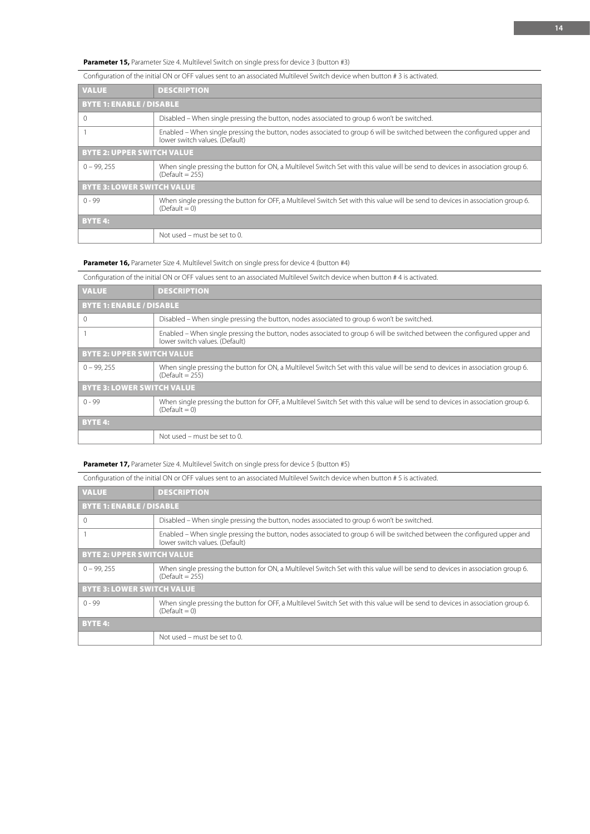**Parameter 15,** Parameter Size 4. Multilevel Switch on single press for device 3 (button #3)

| Comparation or the imital Ori of Fi values sent to an associated munitever switch acvice when button if ship activated. |                                                                                                                                                            |  |
|-------------------------------------------------------------------------------------------------------------------------|------------------------------------------------------------------------------------------------------------------------------------------------------------|--|
| <b>VALUE</b>                                                                                                            | <b>DESCRIPTION</b>                                                                                                                                         |  |
|                                                                                                                         | <b>BYTE 1: ENABLE / DISABLE</b>                                                                                                                            |  |
| $\Omega$                                                                                                                | Disabled – When single pressing the button, nodes associated to group 6 won't be switched.                                                                 |  |
|                                                                                                                         | Enabled – When single pressing the button, nodes associated to group 6 will be switched between the configured upper and<br>lower switch values. (Default) |  |
| <b>BYTE 2: UPPER SWITCH VALUE</b>                                                                                       |                                                                                                                                                            |  |
| $0 - 99.255$                                                                                                            | When single pressing the button for ON, a Multilevel Switch Set with this value will be send to devices in association group 6.<br>$(Default = 255)$       |  |
| <b>BYTE 3: LOWER SWITCH VALUE</b>                                                                                       |                                                                                                                                                            |  |
| $0 - 99$                                                                                                                | When single pressing the button for OFF, a Multilevel Switch Set with this value will be send to devices in association group 6.<br>$(Default = 0)$        |  |
| <b>BYTE 4:</b>                                                                                                          |                                                                                                                                                            |  |
|                                                                                                                         | Not used - must be set to 0.                                                                                                                               |  |
|                                                                                                                         |                                                                                                                                                            |  |

## Configuration of the initial ON or OFF values sent to an associated Multilevel Switch device when button # 3 is activated.

Parameter 16, Parameter Size 4. Multilevel Switch on single press for device 4 (button #4)

| Configuration of the initial ON or OFF values sent to an associated Multilevel Switch device when button #4 is activated. |                                                                                                                                                            |  |
|---------------------------------------------------------------------------------------------------------------------------|------------------------------------------------------------------------------------------------------------------------------------------------------------|--|
| <b>VALUE</b>                                                                                                              | <b>DESCRIPTION</b>                                                                                                                                         |  |
| <b>BYTE 1: ENABLE / DISABLE</b>                                                                                           |                                                                                                                                                            |  |
| $\Omega$                                                                                                                  | Disabled – When single pressing the button, nodes associated to group 6 won't be switched.                                                                 |  |
|                                                                                                                           | Enabled – When single pressing the button, nodes associated to group 6 will be switched between the configured upper and<br>lower switch values. (Default) |  |
| <b>BYTE 2: UPPER SWITCH VALUE</b>                                                                                         |                                                                                                                                                            |  |
| $0 - 99.255$                                                                                                              | When single pressing the button for ON, a Multilevel Switch Set with this value will be send to devices in association group 6.<br>$(Default = 255)$       |  |
| <b>BYTE 3: LOWER SWITCH VALUE</b>                                                                                         |                                                                                                                                                            |  |
| $0 - 99$                                                                                                                  | When single pressing the button for OFF, a Multilevel Switch Set with this value will be send to devices in association group 6.<br>$(Default = 0)$        |  |
| <b>BYTE 4:</b>                                                                                                            |                                                                                                                                                            |  |
|                                                                                                                           | Not used – must be set to 0.                                                                                                                               |  |
|                                                                                                                           |                                                                                                                                                            |  |

## **Parameter 17,** Parameter Size 4. Multilevel Switch on single press for device 5 (button #5)

| Configuration of the initial ON or OFF values sent to an associated Multilevel Switch device when button # 5 is activated. |                                                                                                                                                            |  |
|----------------------------------------------------------------------------------------------------------------------------|------------------------------------------------------------------------------------------------------------------------------------------------------------|--|
| <b>VALUE</b>                                                                                                               | <b>DESCRIPTION</b>                                                                                                                                         |  |
| <b>BYTE 1: ENABLE / DISABLE</b>                                                                                            |                                                                                                                                                            |  |
| $\Omega$                                                                                                                   | Disabled – When single pressing the button, nodes associated to group 6 won't be switched.                                                                 |  |
|                                                                                                                            | Enabled – When single pressing the button, nodes associated to group 6 will be switched between the configured upper and<br>lower switch values. (Default) |  |
| <b>BYTE 2: UPPER SWITCH VALUE</b>                                                                                          |                                                                                                                                                            |  |
| $0 - 99.255$                                                                                                               | When single pressing the button for ON, a Multilevel Switch Set with this value will be send to devices in association group 6.<br>(Default = $255$ )      |  |
| <b>BYTE 3: LOWER SWITCH VALUE</b>                                                                                          |                                                                                                                                                            |  |
| $0 - 99$                                                                                                                   | When single pressing the button for OFF, a Multilevel Switch Set with this value will be send to devices in association group 6.<br>$(Default = 0)$        |  |
| <b>BYTE 4:</b>                                                                                                             |                                                                                                                                                            |  |
|                                                                                                                            | Not used - must be set to 0.                                                                                                                               |  |
|                                                                                                                            |                                                                                                                                                            |  |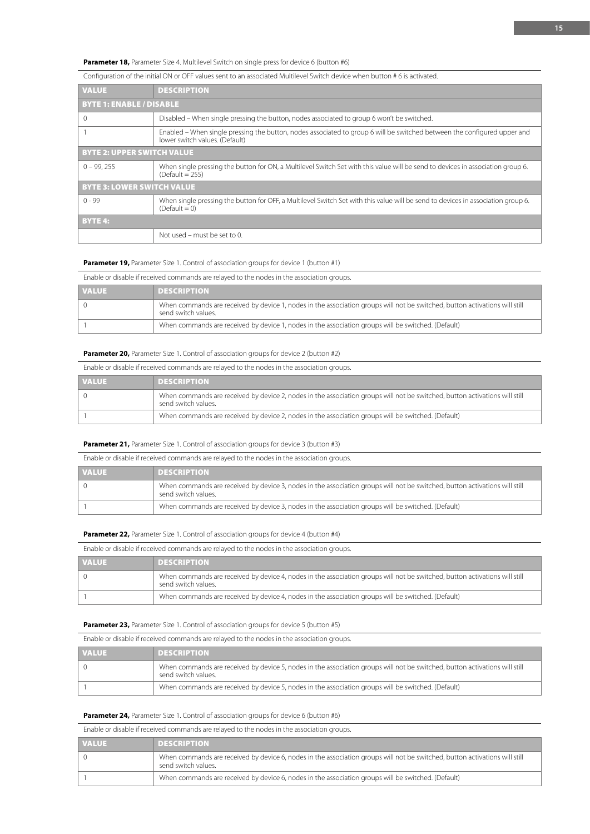**Parameter 18,** Parameter Size 4. Multilevel Switch on single press for device 6 (button #6)

| CONNIQUIATION OF THE INITIAL ON OF FRANCES SENT TO AN ASSOCIATED MULTIPLY CHORDIC WHEN DUTION # 0 IS ACTIVATED. |                                                                                                                                                            |  |
|-----------------------------------------------------------------------------------------------------------------|------------------------------------------------------------------------------------------------------------------------------------------------------------|--|
| <b>VALUE</b>                                                                                                    | <b>DESCRIPTION</b>                                                                                                                                         |  |
| <b>BYTE 1: ENABLE / DISABLE</b>                                                                                 |                                                                                                                                                            |  |
| $\Omega$                                                                                                        | Disabled – When single pressing the button, nodes associated to group 6 won't be switched.                                                                 |  |
|                                                                                                                 | Enabled – When single pressing the button, nodes associated to group 6 will be switched between the configured upper and<br>lower switch values. (Default) |  |
| <b>BYTE 2: UPPER SWITCH VALUE</b>                                                                               |                                                                                                                                                            |  |
| $0 - 99.255$                                                                                                    | When single pressing the button for ON, a Multilevel Switch Set with this value will be send to devices in association group 6.<br>$(Default = 255)$       |  |
| <b>BYTE 3: LOWER SWITCH VALUE</b>                                                                               |                                                                                                                                                            |  |
| $0 - 99$                                                                                                        | When single pressing the button for OFF, a Multilevel Switch Set with this value will be send to devices in association group 6.<br>$(Default = 0)$        |  |
| <b>BYTE 4:</b>                                                                                                  |                                                                                                                                                            |  |
|                                                                                                                 | Not used – must be set to 0.                                                                                                                               |  |
|                                                                                                                 |                                                                                                                                                            |  |

#### Configuration of the initial ON or OFF values sent to an associated Multilevel Switch device when button # 6 is activated.

**Parameter 19,** Parameter Size 1. Control of association groups for device 1 (button #1)

Enable or disable if received commands are relayed to the nodes in the association groups.

| <b>VALUE</b> | <b>DESCRIPTION</b>                                                                                                                                 |
|--------------|----------------------------------------------------------------------------------------------------------------------------------------------------|
|              | When commands are received by device 1, nodes in the association groups will not be switched, button activations will still<br>send switch values. |
|              | When commands are received by device 1, nodes in the association groups will be switched. (Default)                                                |

## **Parameter 20,** Parameter Size 1. Control of association groups for device 2 (button #2)

Enable or disable if received commands are relayed to the nodes in the association groups.

| <b>VALUE</b> | <b>DESCRIPTION</b>                                                                                                                                 |
|--------------|----------------------------------------------------------------------------------------------------------------------------------------------------|
|              | When commands are received by device 2, nodes in the association groups will not be switched, button activations will still<br>send switch values. |
|              | When commands are received by device 2, nodes in the association groups will be switched. (Default)                                                |

#### **Parameter 21,** Parameter Size 1. Control of association groups for device 3 (button #3)

Enable or disable if received commands are relayed to the nodes in the association groups.

| <b>VALUE</b> | <b>DESCRIPTION</b>                                                                                                                                 |
|--------------|----------------------------------------------------------------------------------------------------------------------------------------------------|
|              | When commands are received by device 3, nodes in the association groups will not be switched, button activations will still<br>send switch values. |
|              | When commands are received by device 3, nodes in the association groups will be switched. (Default)                                                |

#### **Parameter 22, Parameter Size 1. Control of association groups for device 4 (button #4)**

Enable or disable if received commands are relayed to the nodes in the association groups.

| <b>VALUE</b> | <b>DESCRIPTION</b>                                                                                                                                 |
|--------------|----------------------------------------------------------------------------------------------------------------------------------------------------|
|              | When commands are received by device 4, nodes in the association groups will not be switched, button activations will still<br>send switch values. |
|              | When commands are received by device 4, nodes in the association groups will be switched. (Default)                                                |

#### **Parameter 23,** Parameter Size 1. Control of association groups for device 5 (button #5)

Enable or disable if received commands are relayed to the nodes in the association groups.

| <b>VALUE</b> | <b>DESCRIPTION</b>                                                                                                                                 |
|--------------|----------------------------------------------------------------------------------------------------------------------------------------------------|
|              | When commands are received by device 5, nodes in the association groups will not be switched, button activations will still<br>send switch values. |
|              | When commands are received by device 5, nodes in the association groups will be switched. (Default)                                                |

#### Parameter 24, Parameter Size 1. Control of association groups for device 6 (button #6)

Enable or disable if received commands are relayed to the nodes in the association groups.

| <b>VALUE</b> | <b>DESCRIPTION</b>                                                                                                                                 |
|--------------|----------------------------------------------------------------------------------------------------------------------------------------------------|
|              | When commands are received by device 6, nodes in the association groups will not be switched, button activations will still<br>send switch values. |
|              | When commands are received by device 6, nodes in the association groups will be switched. (Default)                                                |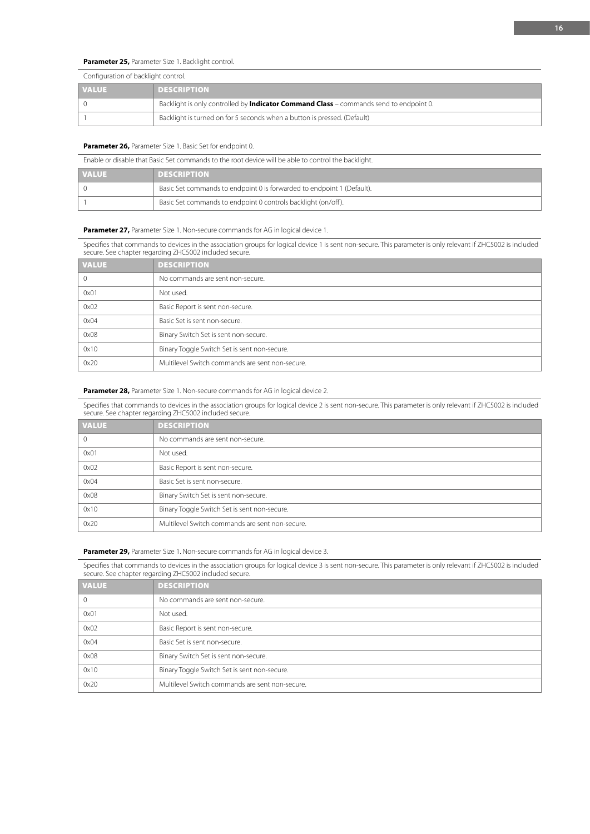# **Parameter 25,** Parameter Size 1. Backlight control.

| Configuration of backlight control. |                                                                                               |
|-------------------------------------|-----------------------------------------------------------------------------------------------|
| <b>VALUE</b>                        | <b>DESCRIPTION</b>                                                                            |
|                                     | Backlight is only controlled by <b>Indicator Command Class</b> – commands send to endpoint 0. |
|                                     | Backlight is turned on for 5 seconds when a button is pressed. (Default)                      |

## **Parameter 26, Parameter Size 1. Basic Set for endpoint 0.**

| Enable or disable that Basic Set commands to the root device will be able to control the backlight. |                                                                        |
|-----------------------------------------------------------------------------------------------------|------------------------------------------------------------------------|
| <b>VALUE</b>                                                                                        | <b>DESCRIPTION</b>                                                     |
|                                                                                                     | Basic Set commands to endpoint 0 is forwarded to endpoint 1 (Default). |
|                                                                                                     | Basic Set commands to endpoint 0 controls backlight (on/off).          |

#### Parameter 27, Parameter Size 1. Non-secure commands for AG in logical device 1.

Specifies that commands to devices in the association groups for logical device 1 is sent non-secure. This parameter is only relevant if ZHC5002 is included secure. See chapter regarding ZHC5002 included secure.

| <b>VALUE</b> | <b>DESCRIPTION</b>                              |
|--------------|-------------------------------------------------|
| 0            | No commands are sent non-secure.                |
| 0x01         | Not used.                                       |
| 0x02         | Basic Report is sent non-secure.                |
| 0x04         | Basic Set is sent non-secure.                   |
| 0x08         | Binary Switch Set is sent non-secure.           |
| 0x10         | Binary Toggle Switch Set is sent non-secure.    |
| 0x20         | Multilevel Switch commands are sent non-secure. |

#### **Parameter 28, Parameter Size 1. Non-secure commands for AG in logical device 2.**

Specifies that commands to devices in the association groups for logical device 2 is sent non-secure. This parameter is only relevant if ZHC5002 is included secure. See chapter regarding ZHC5002 included secure.

| <b>VALUE</b> | <b>DESCRIPTION</b>                              |
|--------------|-------------------------------------------------|
|              | No commands are sent non-secure.                |
| 0x01         | Not used.                                       |
| 0x02         | Basic Report is sent non-secure.                |
| 0x04         | Basic Set is sent non-secure.                   |
| 0x08         | Binary Switch Set is sent non-secure.           |
| 0x10         | Binary Toggle Switch Set is sent non-secure.    |
| 0x20         | Multilevel Switch commands are sent non-secure. |

#### **Parameter 29, Parameter Size 1. Non-secure commands for AG in logical device 3.**

Specifies that commands to devices in the association groups for logical device 3 is sent non-secure. This parameter is only relevant if ZHC5002 is included secure. See chapter regarding ZHC5002 included secure.

| <b>VALUE</b> | <b>DESCRIPTION</b>                              |
|--------------|-------------------------------------------------|
| $\mathbf 0$  | No commands are sent non-secure.                |
| 0x01         | Not used.                                       |
| 0x02         | Basic Report is sent non-secure.                |
| 0x04         | Basic Set is sent non-secure.                   |
| 0x08         | Binary Switch Set is sent non-secure.           |
| 0x10         | Binary Toggle Switch Set is sent non-secure.    |
| 0x20         | Multilevel Switch commands are sent non-secure. |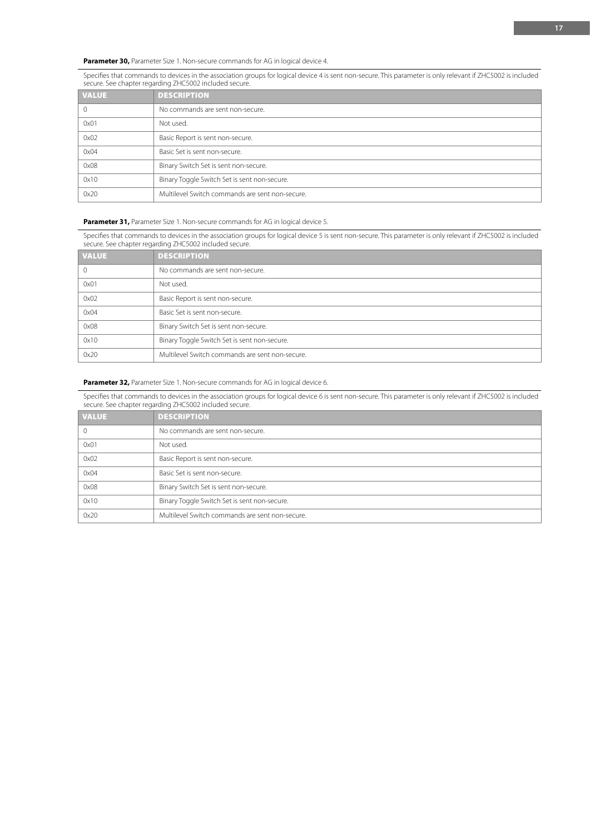**Parameter 30, Parameter Size 1. Non-secure commands for AG in logical device 4.** 

Specifies that commands to devices in the association groups for logical device 4 is sent non-secure. This parameter is only relevant if ZHC5002 is included secure. See chapter regarding ZHC5002 included secure.

| <b>VALUE</b> | <b>DESCRIPTION</b>                              |
|--------------|-------------------------------------------------|
| 0            | No commands are sent non-secure.                |
| 0x01         | Not used.                                       |
| 0x02         | Basic Report is sent non-secure.                |
| 0x04         | Basic Set is sent non-secure.                   |
| 0x08         | Binary Switch Set is sent non-secure.           |
| 0x10         | Binary Toggle Switch Set is sent non-secure.    |
| 0x20         | Multilevel Switch commands are sent non-secure. |

## Parameter 31, Parameter Size 1. Non-secure commands for AG in logical device 5.

Specifies that commands to devices in the association groups for logical device 5 is sent non-secure. This parameter is only relevant if ZHC5002 is included secure. See chapter regarding ZHC5002 included secure.

| <b>VALUE</b> | <b>DESCRIPTION</b>                              |  |
|--------------|-------------------------------------------------|--|
| $\mathbf{0}$ | No commands are sent non-secure.                |  |
| 0x01         | Not used.                                       |  |
| 0x02         | Basic Report is sent non-secure.                |  |
| 0x04         | Basic Set is sent non-secure.                   |  |
| 0x08         | Binary Switch Set is sent non-secure.           |  |
| 0x10         | Binary Toggle Switch Set is sent non-secure.    |  |
| 0x20         | Multilevel Switch commands are sent non-secure. |  |

#### Parameter 32, Parameter Size 1. Non-secure commands for AG in logical device 6.

Specifies that commands to devices in the association groups for logical device 6 is sent non-secure. This parameter is only relevant if ZHC5002 is included secure. See chapter regarding ZHC5002 included secure.

| <b>VALUE</b> | <b>DESCRIPTION</b>                              |
|--------------|-------------------------------------------------|
|              | No commands are sent non-secure.                |
| 0x01         | Not used.                                       |
| 0x02         | Basic Report is sent non-secure.                |
| 0x04         | Basic Set is sent non-secure.                   |
| 0x08         | Binary Switch Set is sent non-secure.           |
| 0x10         | Binary Toggle Switch Set is sent non-secure.    |
| 0x20         | Multilevel Switch commands are sent non-secure. |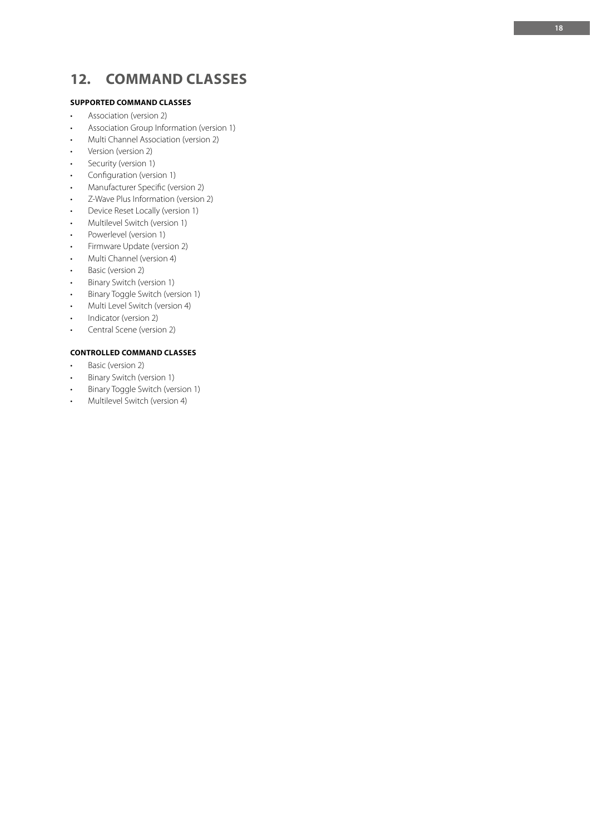# **12. COMMAND CLASSES**

# **SUPPORTED COMMAND CLASSES**

- 
- Association (version 2)<br>• Association Group Information (version 1)
- Multi Channel Association (version 2)
- Version (version 2)<br>• Security (version 1)
- 
- 
- 
- Configuration (version 1)<br>• Manufacturer Specific (version 2)<br>• Z-Wave Plus Information (version 2)<br>• Device Reset Locally (version 1)<br>• Multilevel Switch (version 1)<br>• Firmware Update (version 2)
- 
- 
- 
- 
- Multi Channel (version 4)
- 
- Basic (version 2)<br>• Binary Switch (version 1)
- Binary Toggle Switch (version 1)
- Multi Level Switch (version 4)
- Indicator (version 2)
- Central Scene (version 2)

# **CONTROLLED COMMAND CLASSES**

- Basic (version 2)
- Binary Switch (version 1)
- Binary Toggle Switch (version 1)
- Multilevel Switch (version 4)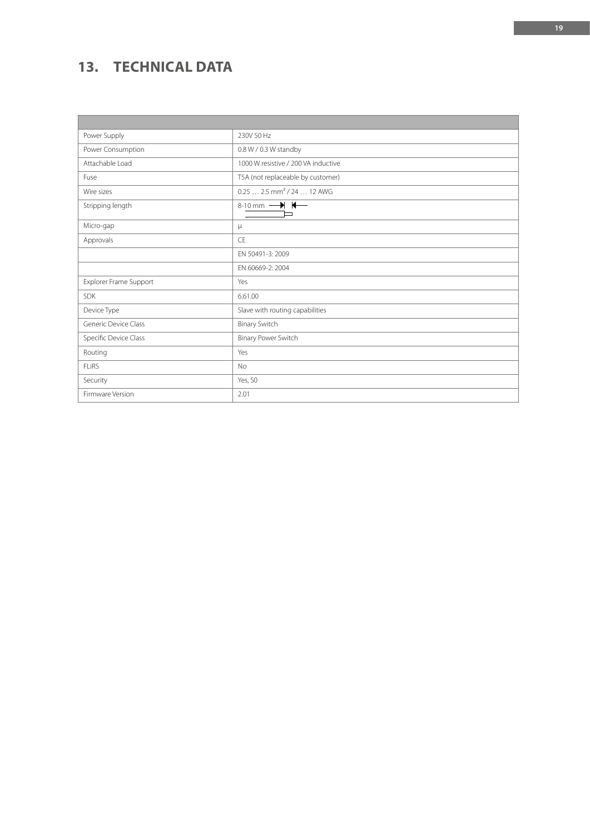# **13. TECHNICAL DATA**

 $\blacksquare$ 

| Power Supply           | 230V 50 Hz                                 |
|------------------------|--------------------------------------------|
| Power Consumption      | 0.8 W / 0.3 W standby                      |
| Attachable Load        | 1000 W resistive / 200 VA inductive        |
| Fuse                   | T5A (not replaceable by customer)          |
| Wire sizes             | $0.252.5$ mm <sup>2</sup> / 24  12 AWG     |
| Stripping length       | 8-10 mm $\longrightarrow$ $\longleftarrow$ |
| Micro-gap              | μ                                          |
| Approvals              | CE                                         |
|                        | EN 50491-3: 2009                           |
|                        | EN 60669-2: 2004                           |
| Explorer Frame Support | Yes                                        |
| <b>SDK</b>             | 6.61.00                                    |
| Device Type            | Slave with routing capabilities            |
| Generic Device Class   | <b>Binary Switch</b>                       |
| Specific Device Class  | Binary Power Switch                        |
| Routing                | Yes                                        |
| <b>FLIRS</b>           | <b>No</b>                                  |
| Security               | Yes, SO                                    |
| Firmware Version       | 2.01                                       |

<u> 1989 - Jan Samuel Barbara, marka a shekara ta 1989 - An tsara tsara tsara tsara tsara tsara tsara tsara tsar</u>